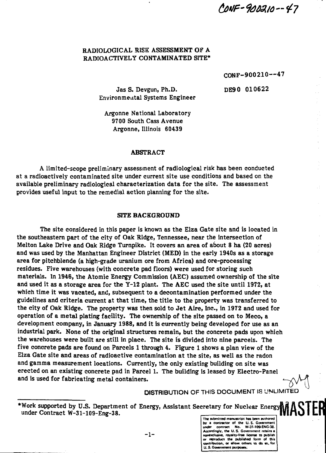CONF-900210--47

### **RADIOLOGICAL RISK ASSESSMENT OF A RADIOACTIVELY CONTAMINATED SITE\***

**CONF-900210—47**

**Jas S. Devgun, Ph.D. DE90 010622 Environmental Systems Engineer**

**Argonne National Laboratory 9700 South Cass Avenue Argonne, Illinois 60439**

#### **ABSTRACT**

**A limited-scope preliminary assessment of radiological risk has been conducted at a radioactively contaminated site under current site use conditions and based on the available preliminary radiological characterization data for the site. The assessment provides useful input to the remedial action planning for the site.**

#### **SITE BACKGROUND**

**The site considered in this paper is known as the Elza Gate site and is located in the southeastern part of the city of Oak Ridge, Tennessee, near the intersection of Melton Lake Drive and Oak Ridge Turnpike. It covers an area of about 8 ha (20 acres) and was used by the Manhattan Engineer District (MED) in the early 1940s as a storage area for pitchblende (a high-grade uranium ore from Africa) and ore-processing residues. Five warehouses (with concrete pad floors) were used for storing such materials. In 1946, the Atomic Energy Commission (AEC) assumed ownership of the site and used it as a storage area for the Y-12 plant. The AEC used the site until 1972, at which time it was vacated, and, subsequent to a decontamination performed under the guidelines and criteria current at that time, the title to the property was transferred to the city of Oak Ridge. The property was then sold to Jet Aire, Inc., in 1972 and used for operation of a metal plating facility. The ownership of the site passed on to Meco, a development company, in January 1988, and it is currently being developed for use as an industrial park. None of the original structures remain, but the concrete pads upon which the warehouses were built are still in place. The site is divided into nine parcels. The five concrete pads are found on Parcels 1 through 4. Figure 1 shows a plan view of the Elza Gate site and areas of radioactive contamination at the site, as well as the radon and gamma measurement locations. Currently, the only existing building on site was erected on an existing concrete pad in Parcel 1. The building is leased by Electro-Panel and is used for fabricating metal containers.**

DISTRIBUTION OF THIS DOCUMENT IS UNLIMITED

**The submitted manuscript has been authored by a contractor of the U.S. Government**<br>under contract No. W-31-109-ENG-2 **under contract No. W-3M09-ENG-38. Accordingly, the U. S. Government retains a** nonexclusive, royalty-free license to publish or reproduce the published form of this<br>contribution, ar allaw athers to do ea, for **U- S- Government purposei.**

**- 1 -**

<sup>\*</sup>Work supported by U.S. Department of Energy, Assistant Secretary for Nuclear Energy **MASTER**<br>under Contract W-31-109-Eng-38. **under Contract W-31-109-Eng-38.**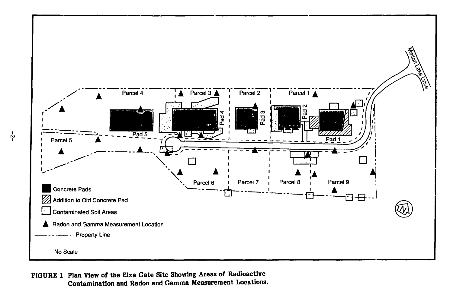

**FIGURE 1 Plan View of the Elza Gate Site Showing Areas of Radioactive Contamination and Radon and Gamma Measurement Locations.**

 $-5-$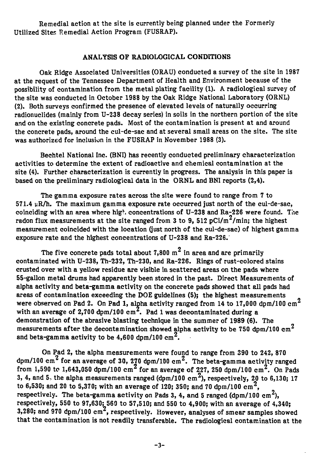Remedial action at the site is currently being planned under the Formerly Utilized Sites Remedial Action Program (FUSRAP).

### ANALYSIS OF RADIOLOGICAL CONDITIONS

Oak Ridge Associated Universities (ORAU) conducted a survey of the site in 1987 at the request of the Tennessee Department of Health and Environment because of the possibility of contamination from the metal plating facility (1). A radiological survey of the site was conducted in October 1988 by the Oak Ridge National Laboratory (ORNL) (2). Both surveys confirmed the presence of elevated levels of naturally occurring radionuclides (mainly from U-238 decay series) in soils in the northern portion of the site and on the existing concrete pads. Most of the contamination is present at and around the concrete pads, around the cul-de-sac and at several small areas on the site. The site was authorized for inclusion in the FUSRAP in November 1988 (3).

Bechtel National Inc. (BNI) has recently conducted preliminary characterization activities to determine the extent of radioactive and chemical contamination at the site (4). Further characterization is currently in progress. The analysis in this paper is based on the preliminary radiological data in the ORNL and BNI reports (2,4).

The gamma exposure rates across the site were found to range from 7 to  $571.4 \mu R/h$ . The maximum gamma exposure rate occurred just north of the cul-de-sac, coinciding with an area where high concentrations of U-238 and Ra-226 were found. The radon flux measurements at the site ranged from 3 to 9, 512 pCi/m<sup>2</sup>/min; the highest measurement coincided with the location (just north of the cul-de-sac) of highest gamma exposure rate and the highest concentrations of U-238 and Ra-226.'

**n** The five concrete pads total about 7,800 m<sup>2</sup> in area and are primarily contaminated with U-238, Th-232, Th-230, and Ra-226. Rings of rust-colored stains crusted over with a yellow residue are visible in scattered areas on the pads where 55-gallon metal drums had apparently been stored in the past. Direct Measurements of alpha activity and beta-gamma activity on the concrete pads showed that all pads had areas of contamination exceeding the DOE guidelines (5); the highest measurements were observed on Pad 2. On Pad 1, alpha activity ranged from 14 to 17,000 dpm/100  $cm<sup>2</sup>$ with an average of  $2,700$  dpm/100  $cm^2$ . Pad 1 was decontaminated during a demonstration of the abrasive blasting technique in the summer of 1989 (6). The measurements after the decontamination showed alpha activity to be 750 dpm/100  $cm^2$ and beta-gamma activity to be  $4,600$  dpm/100  $\mathrm{cm}^\mathrm{Z}$ .

On Pad 2, the alpha measurements were found to range from 390 to 242, 870 dpm/100 cm<sup>2</sup> for an average of 30, 270 dpm/100 cm<sup>2</sup>. The beta-gamma activity ranged from 1,590 to 1,643,050 dpm/100 cm<sup>2</sup> for an average of 227, 250 dpm/100 cm<sup>2</sup>. On Pads 3, 4, and 5, the alpha measurements ranged (dpm/100 cm<sup>2</sup>), respectively, 20 to 6,130; 17 to 6,530; and 20 to 5,370; with an average of 120; 350; and 70 dpm/100 cm<sup>2</sup>, respectively. The beta-gamma activity on Pads 3, 4, and 5 ranged (dpm/100 cm<sup>2</sup>), respectively, 550 to 97,630; 560 to 57,510; and 550 to 4,900; with an average of 4,340; 3,280; and 970 dpm/100  $cm^2$ , respectively. However, analyses of smear samples showed that the contamination is not readily transferable. The radiological contamination at the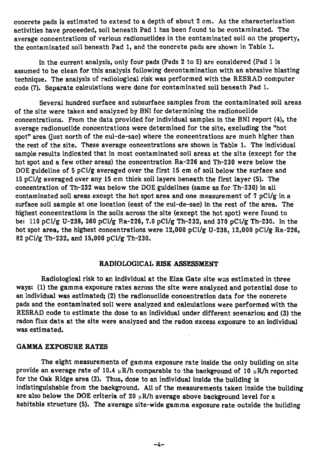concrete pads is estimated to extend to a depth of about 2 cm. As the characterization activities have proceeded, soil beneath Pad 1 has been found to be contaminated. The average concentrations of various radionuclides in the contaminated soil on the property, the contaminated soil beneath Pad 1, and the concrete pads are shown in Table 1.

In the current analysis, only four pads (Pads 2 to 5) are considered (Pad 1 is assumed to be clean for this analysis following decontamination with an abrasive blasting technique. The analysis of radiological risk was performed with the RESRAD computer code (7). Separate calculations were done for contaminated soil beneath Pad 1.

Several hundred surface and subsurface samples from the contaminated soil areas of the site were taken and analyzed by BNI for determining the radionuclide concentrations. From the data provided for individual samples in the BNI report (4), the average radionuclide concentrations were determined for the site, excluding the "hot spot" area (just north of the cul-de-sac) where the concentrations are much higher than the rest of the site. These average concentrations are shown in Table 1. The individual sample results indicated that in most contaminated soil areas at the site (except for the hot spot and a few other areas) the concentration Ra-226 and Th-230 were below the DOE guideline of 5 pCi/g averaged over the first 15 cm of soil below the surface and 15 pCi/g averaged over any 15 cm thick soil layers beneath the first layer (5). The concentration of Th-232 was below the DOE guidelines (same as for Th-230) in all contaminated soil areas except the hot spot area and one measurement of  $7 pCi/g$  in a surface soil sample at one location (east of the cul-de-sac) in the rest of the area. The highest concentrations in the soils across the site (except the hot spot) were found to be: 110 pCi/g U-238, 360 pCi/g Ra-226, 7.0 pCi/g Th-232, and 370 pCi/g Th-230. In the hot spot area, the highest concentrations were 12,000 pCi/g U-238, 12,000 pCi/g Ra-226, 82 pCi/g Th-232, and 15,000 pCi/g Th-230.

### **RADIOLOGICAL RISK ASSESSMENT**

Radiological risk to an individual at the Elza Gate site was estimated in three ways: (1) the gamma exposure rates across the site were analyzed and potential dose to an individual was estimated; (2) the radionuclide concentration data for the concrete pads and the contaminated soil were analyzed and calculations were performed with the RESRAD code to estimate the dose to an individual under different scenarios; and (3) the radon flux data at the site were analyzed and the radon excess exposure to an individual was estimated.

#### **GAMMA EXPOSURE RATES**

The eight measurements of gamma exposure rate inside the only building on site provide an average rate of 10.4  $\mu$ R/h comparable to the background of 10  $\mu$ R/h reported for the Oak Ridge area (2). Thus, dose to an individual inside the building is indistinguishable from the background. All of the measurements taken inside the building are also below the DOE criteria of 20  $\mu$ R/h average above background level for a habitable structure (5). The average site-wide gamma exposure rate outside the building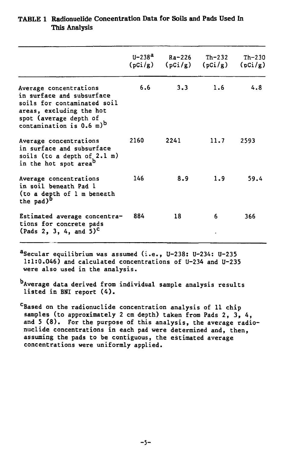|                                                                                                                                                                                           | $U - 238a$<br>(pCi/g) | Ra-226<br>(pCi/g) | Th-232<br>(pCi/g) | $Th-230$<br>(pCi/g) |
|-------------------------------------------------------------------------------------------------------------------------------------------------------------------------------------------|-----------------------|-------------------|-------------------|---------------------|
| Average concentrations<br>in surface and subsurface<br>soils for contaminated soil<br>areas, excluding the hot<br>spot (average depth of<br>contamination is $0.6 \text{ m}$ <sup>b</sup> | 6.6                   | 3.3               | 1.6               | 4.8                 |
| Average concentrations<br>in surface and subsurface<br>soils (to a depth of 2.1 m)<br>in the hot spot area <sup>D</sup>                                                                   | 2160                  | 2241              | 11.7              | 2593                |
| Average concentrations<br>in soil beneath Pad l<br>(to a depth of 1 m beneath<br>the pad) <sup>b</sup>                                                                                    | 146                   | 8.9               | 1.9               | 59.4                |
| Estimated average concentra-<br>tions for concrete pads<br>(Pads 2, 3, 4, and $5)^{c}$                                                                                                    | 884                   | 18                | 6                 | 366                 |

# **TABL E 1 Radionuclide Concentration Data for Soils and Pads Used In This Analysis**

**<sup>a</sup>Secular equilibrium was assumed (i.e., U-238: U-234: U-235 1:1:0.046) and calculated concentrations of U-234 and U-235 were also used in the analysis.**

**Average data derived from individual sample analysis results listed in BNI report (4).**

**<sup>c</sup>Based on the radionuclide concentration analysis of 11 chip samples (to approximately 2 cm depth) taken from Pads 2, 3, 4, and 5 (8). For the purpose of this analysis, the average radionuclide concentrations in each pad were determined and, then, assuming the pads to be contiguous, the estimated average concentrations were uniformly applied.**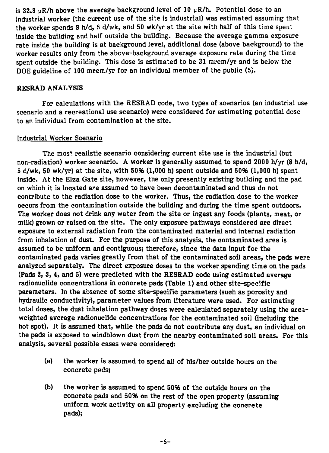is 32.8  $uR/h$  above the average background level of 10  $\mu R/h$ . Potential dose to an industrial worker (the current use of the site is industrial) was estimated assuming that the worker spends 8 h/d, 5 d/wk, and 50 wk/yr at the site with half of this time spent inside the building and half outside the building. Because the average gamma exposure rate inside the building is at background level, additional dose (above background) to the worker results only from the above-background average exposure rate during the time spent outside the building. This dose is estimated to be 31 mrem/yr and is below the DOE guideline of 100 mrem/yr for an individual member of the public (5).

### RESRAD ANALYSIS

For calculations with the RESRAD code, two types of scenarios (an industrial use scenario and a recreational use scenario) were considered for estimating potential dose to an individual from contamination at the site.

### Industrial Worker Scenario

The most realistic scenario considering current site use is the industrial (but non-radiation) worker scenario. A worker is generally assumed to spend 2000 h/yr (8 h/d, 5 d/wk, 50 wk/yr) at the site, with 50% (1,000 h) spent outside and 50% (1,000 h) spent inside. At the Elza Gate site, however, the only presently existing building and the pad on which it is located are assumed to have been decontaminated and thus do not contribute to the radiation dose to the worker. Thus, the radiation dose to the worker occurs from the contamination outside the building and during the time spent outdoors. The worker does not drink any water from the site or ingest any foods (plants, meat, or milk) grown or raised on the site. The only exposure pathways considered are direct exposure to external radiation from the contaminated material and internal radiation from inhalation of dust. For the purpose of this analysis, the contaminated area is assumed to be uniform and contiguous; therefore, since the data input for the contaminated pads varies greatly from that of the contaminated soil areas, the pads were analyzed separately. The direct exposure doses to the worker spending time on the pads (Pads 2, 3, 4, and 5) were predicted with the RESRAD code using estimated average radionuclide concentrations in concrete pads (Table 1) and other site-specific parameters. In the absence of some site-specific parameters (such as porosity and hydraulic conductivity), parameter values from literature were used. For estimating total doses, the dust inhalation pathway doses were calculated separately using the areaweighted average radionuclide concentrations for the contaminated soil (including the hot spot). It is assumed that, while the pads do not contribute any dust, an individual on the pads is exposed to windblown dust from the nearby contaminated soil areas. For this analysis, several possible cases were considered:

- (a) the worker is assumed to spend all of his/her outside hours on the concrete pads;
- (b) the worker is assumed to spend 50% of the outside hours on the concrete pads and 50% on the rest of the open property (assuming uniform work activity on all property excluding the concrete pads);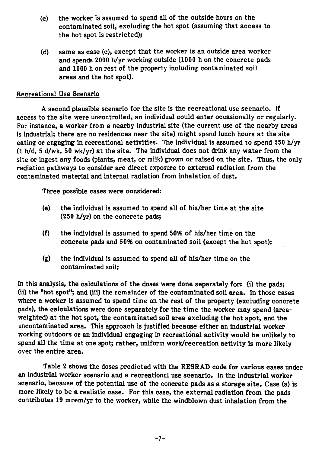- **(c) the worker is assumed to spend all of the outside hours on the contaminated soil, excluding the hot spot (assuming that access to the hot spot is restricted);**
- **(d) same as case (c), except that the worker is an outside area worker and spends 2000 h/yr working outside (1000 h on the concrete pads and 1000 h on rest of the property including contaminated soil areas and the hot spot).**

## **Recreational Use Scenario**

**A second plausible scenario for the site is the recreational use scenario. If access to the site were uncontrolled, an individual could enter occasionally or regularly. Fov instance, a worker from a nearby industrial site (the current use of the nearby areas is industrial; there are no residences near the site) might spend lunch hours at the site eating or engaging in recreational activities. The individual is assumed to spend 250 h/yr (1 h/d, 5 d/wk, 50 wk/yr) at the site. The individual does not drink any water from the site or ingest any foods (plants, meat, or milk) grown or raised on the site. Thus, the only radiation pathways to consider are direct exposure to external radiation from the contaminated material and internal radiation from inhalation of dust.**

**Three possible cases were considered:**

- **(e) the individual is assumed to spend all of his/her time at the site (250 h/yr) on the concrete pads;**
- **(f) the individual is assumed to spend 50% of his/her time on the concrete pads and 5096 on contaminated soil (except the hot spot);**
- **(g) the individual is assumed to spend all of his/her time on the contaminated soil;**

**In this analysis, the calculations of the doses were done separately for: (i) the pads; (ii) the "hot spot"; and (iii) the remainder of the contaminated soil area. In those cases where a worker is assumed to spend time on the rest of the property (excluding concrete pads), the calculations were done separately for the time the worker may spend (areaweighted) at the hot spot, the contaminated soil area excluding the hot spot, and the uncontaminated area. This approach is justified because either an industrial worker working outdoors or an individual engaging in recreational activity would be unlikely to spend all the time at one spot; rather, uniform work/recreation activity is more likely over the entire area.**

**Table 2 shows the doses predicted with the RESRAD code for various cases under an industrial worker scenario and a recreational use scenario. In the industrial worker scenario, because of the potential use of the concrete pads as a storage site, Case (a) is more likely to be a realistic case. For this case, the external radiation from the pads contributes 19 mrem/yr to the worker, while the windblown dust inhalation from the**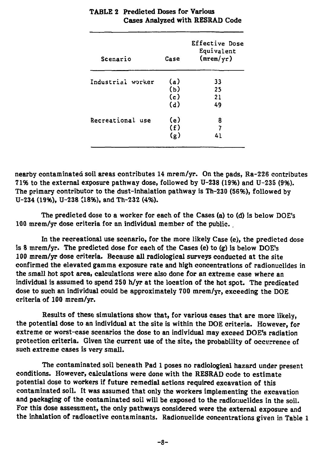| Scenario          | Case | Effective Dose<br>Equivalent<br>(mrem/yr) |
|-------------------|------|-------------------------------------------|
| Industrial worker | (a)  | 33                                        |
|                   | (b)  | 25                                        |
|                   | (c)  | 21                                        |
|                   | (d)  | 49                                        |
| Recreational use  | (e)  | 8                                         |
|                   | (f)  | 7                                         |
|                   | (g)  | 41                                        |

# TABLE 2 Predicted Doses for Various Cases Analyzed with RESRAD Code

nearby contaminated soil areas contributes 14 mrem/yr. On the pads, Ra-226 contributes 71% to the external exposure pathway dose, followed by U-238 (19%) and U-235 (9%). The primary contributor to the dust-inhalation pathway is Th-230 (56%), followed by U-234 (19%), U-238 (18%), and Th-232 (4%).

The predicted dose to a worker for each of the Cases (a) to (d) is below DOE's 100 mrem/yr dose criteria for an individual member of the public..

In the recreational use scenario, for the more likely Case (e), the predicted dose is 8 mrem/yr. The predicted dose for each of the Cases (e) to (g) is below DOE's 100 mrem/yr dose criteria. Because all radiological surveys conducted at the site confirmed the elevated gamma exposure rate and high concentrations of radionuclides in the small hot spot area, calculations were also done for an extreme case where an individual is assumed to spend 250 h/yr at the location of the hot spot. The predicated dose to such an individual could be approximately 700 mrem/yr, exceeding the DOE criteria of 100 mrem/yr.

Results of these simulations show that, for various cases that are more likely, the potential dose to an individual at the site is within the DOE criteria. However, for extreme or worst-case scenarios the dose to an individual may exceed DOE's radiation protection criteria. Given the current use of the site, the probability of occurrence of such extreme cases is very small.

The contaminated soil beneath Pad 1 poses no radiological hazard under present conditions. However, calculations were done with the RESRAD code to estimate potential dose to workers if future remedial actions required excavation of this contaminated soil. It was assumed that only the workers implementing the excavation and packaging of the contaminated soil will be exposed to the radioriuclides in the soil. For this dose assessment, the only pathways considered were the external exposure and the inhalation of radioactive contaminants. Radionuclide concentrations given in Table 1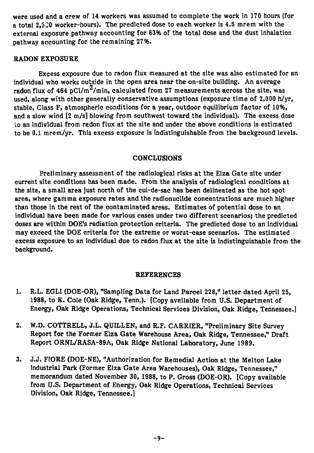were used and a crew of 14 workers was assumed to complete the work in 170 hours (for a total 2,330 worker-hours). The predicted dose to each worker is 4.5 mrem with the external exposure pathway accounting for 63% of the total dose and the dust inhalation pathway accounting for the remaining 2796.

### RADON EXPOSURE

Excess exposure due to radon flux measured at the site was also estimated for an individual who works outside in the open area near the on-site building. An average radon flux of  $464 \text{ pCi/m}^2/\text{min}$ , calculated from 27 measurements across the site, was used, along with other generally conservative assumptions (exposure time of 2,000 h/yr, stable, Class F, atmospheric conditions for a year, outdoor equilibrium factor of 10%, and a slow wind [2 m/s] blowing from southwest toward the individual). The excess dose to an individual from radon flux at the site and under the above conditions is estimated to be 0.1 mrem/yr. This excess exposure is indistinguishable from the background levels.

### CONCLUSIONS

Preliminary assessment of the radiological risks at the Elza Gate site under current site conditions has been made. From the analysis of radiological conditions at the site, a small area just north of the cul-de-sac has been delineated as the hot spot area, where gamma exposure rates and the radionuclide concentrations are much higher than those in the rest of the contaminated areas. Estimates of potential dose to an individual have been made for various cases under two different scenarios; the predicted doses are within DOE's radiation protection criteria. The predicted dose to an individual may exceed the DOE criteria for the extreme or worst-case scenarios. The estimated excess exposure to an individual due to radon flux at the site is indistinguishable from the background.

#### REFERENCES

- 1. R.L. EGLI (DOE-OR), "Sampling Data for Land Parcel 228," letter dated April 25, 1988, to K. Cole (Oak Ridge, Tenn.). [Copy available from U.S. Department of Energy, Oak Ridge Operations, Technical Services Division, Oak Ridge, Tennessee.]
- 2. W.D. COTTRELL, J.L. QUILLEN, and R.F. CARRIER, "Preliminary Site Survey Report for the Former Elza Gate Warehouse Area, Oak Ridge, Tennessee," Draft Report ORNL/RASA-89A, Oak Ridge National Laboratory, June 1989.
- 3. J.J. FIORE (DOE-NE), "Authorization for Remedial Action at the Melton Lake Industrial Park (Former Elza Gate Area Warehouses), Oak Ridge, Tennessee," memorandum dated November 30,1988, to P. Gross (DOE-OR). [Copy available from U.S. Department of Energy, Oak Ridge Operations, Technical Services Division, Oak Ridge, Tennessee.]